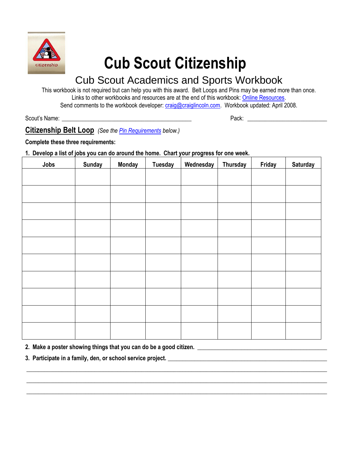

# **Cub Scout Citizenship**

## Cub Scout Academics and Sports Workbook

This workbook is not required but can help you with this award. Belt Loops and Pins may be earned more than once. Links to other workbooks and resources are at the end of this workbook: [Online Resources.](#page-2-0) Send comments to the workbook developer[: craig@craiglincoln.com.](mailto:craig@craiglincoln.com) Workbook updated: April 2008.

Scout's Name: <u>and the set of the set of the set of the set of the set of the set of the set of the set of the set of the set of the set of the set of the set of the set of the set of the set of the set of the set of the s</u>

### **Citizenship Belt Loop** *(See th[e Pin Requirements](#page-1-0) below.)*

**Complete these three requirements:** 

**1. Develop a list of jobs you can do around the home. Chart your progress for one week.** 

| Jobs | <b>Sunday</b> | <b>Monday</b> | <b>Tuesday</b> | Wednesday | <b>Thursday</b> | Friday | <b>Saturday</b> |
|------|---------------|---------------|----------------|-----------|-----------------|--------|-----------------|
|      |               |               |                |           |                 |        |                 |
|      |               |               |                |           |                 |        |                 |
|      |               |               |                |           |                 |        |                 |
|      |               |               |                |           |                 |        |                 |
|      |               |               |                |           |                 |        |                 |
|      |               |               |                |           |                 |        |                 |
|      |               |               |                |           |                 |        |                 |
|      |               |               |                |           |                 |        |                 |
|      |               |               |                |           |                 |        |                 |
|      |               |               |                |           |                 |        |                 |
|      |               |               |                |           |                 |        |                 |
|      |               |               |                |           |                 |        |                 |
|      |               |               |                |           |                 |        |                 |
|      |               |               |                |           |                 |        |                 |
|      |               |               |                |           |                 |        |                 |

**\_\_\_\_\_\_\_\_\_\_\_\_\_\_\_\_\_\_\_\_\_\_\_\_\_\_\_\_\_\_\_\_\_\_\_\_\_\_\_\_\_\_\_\_\_\_\_\_\_\_\_\_\_\_\_\_\_\_\_\_\_\_\_\_\_\_\_\_\_\_\_\_\_\_\_\_\_\_\_\_\_\_\_\_\_\_\_\_\_\_\_\_\_\_\_\_\_\_\_\_\_\_ \_\_\_\_\_\_\_\_\_\_\_\_\_\_\_\_\_\_\_\_\_\_\_\_\_\_\_\_\_\_\_\_\_\_\_\_\_\_\_\_\_\_\_\_\_\_\_\_\_\_\_\_\_\_\_\_\_\_\_\_\_\_\_\_\_\_\_\_\_\_\_\_\_\_\_\_\_\_\_\_\_\_\_\_\_\_\_\_\_\_\_\_\_\_\_\_\_\_\_\_\_\_ \_\_\_\_\_\_\_\_\_\_\_\_\_\_\_\_\_\_\_\_\_\_\_\_\_\_\_\_\_\_\_\_\_\_\_\_\_\_\_\_\_\_\_\_\_\_\_\_\_\_\_\_\_\_\_\_\_\_\_\_\_\_\_\_\_\_\_\_\_\_\_\_\_\_\_\_\_\_\_\_\_\_\_\_\_\_\_\_\_\_\_\_\_\_\_\_\_\_\_\_\_\_**

2. Make a poster showing things that you can do be a good citizen. **\_\_\_\_\_\_\_\_\_\_\_\_\_\_\_\_\_\_\_\_\_\_\_\_\_\_\_\_\_\_\_\_\_\_\_** 

**3. Participate in a family, den, or school service project. \_\_\_\_\_\_\_\_\_\_\_\_\_\_\_\_\_\_\_\_\_\_\_\_\_\_\_\_\_\_\_\_\_\_\_\_\_\_\_\_\_\_\_\_\_\_\_\_\_\_\_\_\_\_**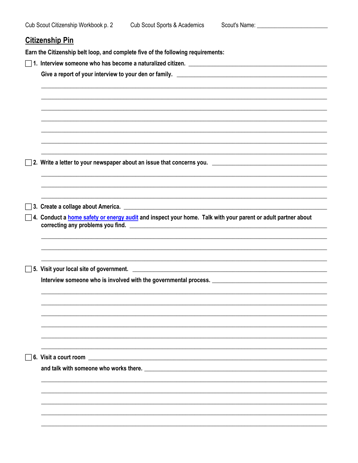## <span id="page-1-0"></span>**Citizenship Pin**

Earn the Citizenship belt loop, and complete five of the following requirements:

| 4. Conduct a <b>home safety or energy audit</b> and inspect your home. Talk with your parent or adult partner about |
|---------------------------------------------------------------------------------------------------------------------|
|                                                                                                                     |
|                                                                                                                     |
|                                                                                                                     |
|                                                                                                                     |
|                                                                                                                     |
|                                                                                                                     |
|                                                                                                                     |
|                                                                                                                     |
|                                                                                                                     |
|                                                                                                                     |
|                                                                                                                     |
|                                                                                                                     |
| 6. Visit a court room<br><u> 1980 - Andrea Andrew Maria (h. 1980).</u>                                              |
|                                                                                                                     |
|                                                                                                                     |
|                                                                                                                     |
|                                                                                                                     |
|                                                                                                                     |
|                                                                                                                     |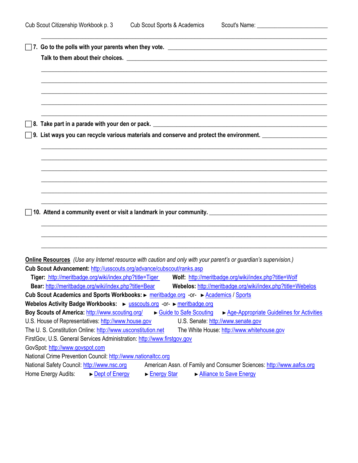**\_\_\_\_\_\_\_\_\_\_\_\_\_\_\_\_\_\_\_\_\_\_\_\_\_\_\_\_\_\_\_\_\_\_\_\_\_\_\_\_\_\_\_\_\_\_\_\_\_\_\_\_\_\_\_\_\_\_\_\_\_\_\_\_\_\_\_\_\_\_\_\_\_\_\_\_\_\_\_\_\_\_\_\_\_\_\_\_\_\_\_\_\_\_\_\_\_**

<span id="page-2-0"></span>

| Online Resources (Use any Internet resource with caution and only with your parent's or guardian's supervision.)         |  |  |  |  |  |  |  |
|--------------------------------------------------------------------------------------------------------------------------|--|--|--|--|--|--|--|
| Cub Scout Advancement: http://usscouts.org/advance/cubscout/ranks.asp                                                    |  |  |  |  |  |  |  |
| Tiger: http://meritbadge.org/wiki/index.php?title=Tiger Wolf: http://meritbadge.org/wiki/index.php?title=Wolf            |  |  |  |  |  |  |  |
| Bear: http://meritbadge.org/wiki/index.php?title=Bear Webelos: http://meritbadge.org/wiki/index.php?title=Webelos        |  |  |  |  |  |  |  |
| Cub Scout Academics and Sports Workbooks: Demonstrational or- Demonstrational Sports                                     |  |  |  |  |  |  |  |
| Webelos Activity Badge Workbooks: > usscouts.org -or- > meritbadge.org                                                   |  |  |  |  |  |  |  |
| Boy Scouts of America: http://www.scouting.org/<br>Guide to Safe Scouting<br>▶ Age-Appropriate Guidelines for Activities |  |  |  |  |  |  |  |
| U.S. House of Representatives: http://www.house.gov<br>U.S. Senate: http://www.senate.gov                                |  |  |  |  |  |  |  |
| The U. S. Constitution Online: http://www.usconstitution.net<br>The White House: http://www.whitehouse.gov               |  |  |  |  |  |  |  |
| FirstGov, U.S. General Services Administration: http://www.firstgov.gov                                                  |  |  |  |  |  |  |  |
| GovSpot: http://www.govspot.com                                                                                          |  |  |  |  |  |  |  |
| National Crime Prevention Council: http://www.nationaltcc.org                                                            |  |  |  |  |  |  |  |
| American Assn. of Family and Consumer Sciences: http://www.aafcs.org<br>National Safety Council: http://www.nsc.org      |  |  |  |  |  |  |  |
| Home Energy Audits:<br>Alliance to Save Energy<br>► Dept of Energy<br>Energy Star                                        |  |  |  |  |  |  |  |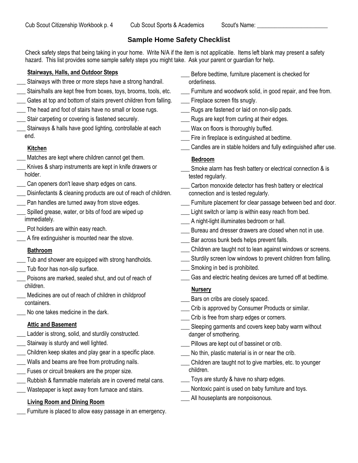#### **Sample Home Safety Checklist**

<span id="page-3-0"></span>Check safety steps that being taking in your home. Write N/A if the item is not applicable. Items left blank may present a safety hazard. This list provides some sample safety steps you might take. Ask your parent or guardian for help.

#### **Stairways, Halls, and Outdoor Steps**

- Stairways with three or more steps have a strong handrail.
- \_\_\_ Stairs/halls are kept free from boxes, toys, brooms, tools, etc.
- Gates at top and bottom of stairs prevent children from falling.
- The head and foot of stairs have no small or loose rugs.
- Stair carpeting or covering is fastened securely.
- Stairways & halls have good lighting, controllable at each end.

#### **Kitchen**

- Matches are kept where children cannot get them.
- Knives & sharp instruments are kept in knife drawers or holder.
- Can openers don't leave sharp edges on cans.
- \_\_\_ Disinfectants & cleaning products are out of reach of children.
- Pan handles are turned away from stove edges.
- Spilled grease, water, or bits of food are wiped up immediately.
	- \_\_\_ Pot holders are within easy reach.
- \_\_\_ A fire extinguisher is mounted near the stove.

#### **Bathroom**

- \_\_\_ Tub and shower are equipped with strong handholds.
- Tub floor has non-slip surface.
- Poisons are marked, sealed shut, and out of reach of children.
- Medicines are out of reach of children in childproof containers.
- No one takes medicine in the dark.

#### **Attic and Basement**

- \_\_\_ Ladder is strong, solid, and sturdily constructed.
- \_\_\_ Stairway is sturdy and well lighted.
- \_\_\_ Children keep skates and play gear in a specific place.
- Walls and beams are free from protruding nails.
- Fuses or circuit breakers are the proper size.
- Rubbish & flammable materials are in covered metal cans.
- Wastepaper is kept away from furnace and stairs.

## **Living Room and Dining Room**

Furniture is placed to allow easy passage in an emergency.

- Before bedtime, furniture placement is checked for orderliness.
- Furniture and woodwork solid, in good repair, and free from.
- Fireplace screen fits snugly.
- Rugs are fastened or laid on non-slip pads.
- \_\_\_ Rugs are kept from curling at their edges.
- Wax on floors is thoroughly buffed.
- \_\_\_ Fire in fireplace is extinguished at bedtime.
- \_\_\_ Candles are in stable holders and fully extinguished after use.

#### **Bedroom**

- Smoke alarm has fresh battery or electrical connection & is tested regularly.
- Carbon monoxide detector has fresh battery or electrical connection and is tested regularly.
- Furniture placement for clear passage between bed and door.
- Light switch or lamp is within easy reach from bed.
- \_\_\_ A night-light illuminates bedroom or hall.
- Bureau and dresser drawers are closed when not in use.
- Bar across bunk beds helps prevent falls.
- \_\_\_ Children are taught not to lean against windows or screens.
- Sturdily screen low windows to prevent children from falling.
- Smoking in bed is prohibited.
- Gas and electric heating devices are turned off at bedtime.

#### **Nursery**

- Bars on cribs are closely spaced.
- Crib is approved by Consumer Products or similar.
- \_\_\_ Crib is free from sharp edges or corners.
- Sleeping garments and covers keep baby warm without danger of smothering.
- Pillows are kept out of bassinet or crib.
- No thin, plastic material is in or near the crib.
- \_\_\_ Children are taught not to give marbles, etc. to younger children.
- \_\_\_ Toys are sturdy & have no sharp edges.
- Nontoxic paint is used on baby furniture and toys.
- \_\_\_ All houseplants are nonpoisonous.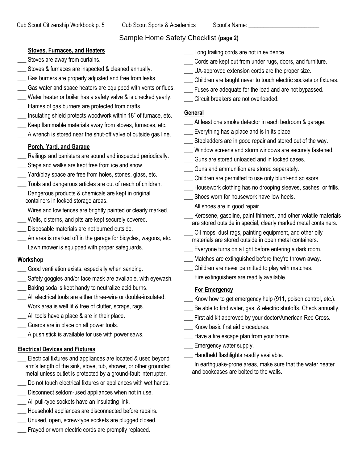#### Sample Home Safety Checklist **(page 2)**

#### **Stoves, Furnaces, and Heaters**

- Stoves are away from curtains.
- Stoves & furnaces are inspected & cleaned annually.
- Gas burners are properly adjusted and free from leaks.
- Gas water and space heaters are equipped with vents or flues.
- Water heater or boiler has a safety valve & is checked yearly.
- Flames of gas burners are protected from drafts.
- Insulating shield protects woodwork within 18" of furnace, etc.
- Keep flammable materials away from stoves, furnaces, etc.
- A wrench is stored near the shut-off valve of outside gas line.

#### **Porch, Yard, and Garage**

- Railings and banisters are sound and inspected periodically.
- Steps and walks are kept free from ice and snow.
- Yard/play space are free from holes, stones, glass, etc.
- Tools and dangerous articles are out of reach of children.
- Dangerous products & chemicals are kept in original containers in locked storage areas.
- \_\_\_ Wires and low fences are brightly painted or clearly marked.
- Wells, cisterns, and pits are kept securely covered. Disposable materials are not burned outside.
- 
- An area is marked off in the garage for bicycles, wagons, etc. Lawn mower is equipped with proper safeguards.

## **Workshop**

- Good ventilation exists, especially when sanding.
- Safety goggles and/or face mask are available, with eyewash.
- Baking soda is kept handy to neutralize acid burns.
- \_\_\_ All electrical tools are either three-wire or double-insulated.
- Work area is well lit & free of clutter, scraps, rags.
- All tools have a place & are in their place.
- Guards are in place on all power tools.
- A push stick is available for use with power saws.

#### **Electrical Devices and Fixtures**

- Electrical fixtures and appliances are located & used beyond arm's length of the sink, stove, tub, shower, or other grounded metal unless outlet is protected by a ground-fault interrupter.
- Do not touch electrical fixtures or appliances with wet hands.
- Disconnect seldom-used appliances when not in use.
- \_\_\_ All pull-type sockets have an insulating link.
- \_\_\_ Household appliances are disconnected before repairs.
- Unused, open, screw-type sockets are plugged closed.
- Frayed or worn electric cords are promptly replaced.
- Long trailing cords are not in evidence.
- Cords are kept out from under rugs, doors, and furniture.
- \_\_\_ UA-approved extension cords are the proper size.
- \_\_\_ Children are taught never to touch electric sockets or fixtures.
- \_\_\_ Fuses are adequate for the load and are not bypassed.
- \_\_\_ Circuit breakers are not overloaded.

#### **General**

- At least one smoke detector in each bedroom & garage.
- Everything has a place and is in its place.
- \_\_\_ Stepladders are in good repair and stored out of the way.
- \_\_\_ Window screens and storm windows are securely fastened.
- Guns are stored unloaded and in locked cases.
- Guns and ammunition are stored separately.
- Children are permitted to use only blunt-end scissors.
- \_\_\_ Housework clothing has no drooping sleeves, sashes, or frills.
- Shoes worn for housework have low heels.
- All shoes are in good repair.
- Kerosene, gasoline, paint thinners, and other volatile materials are stored outside in special, clearly marked metal containers.
- Oil mops, dust rags, painting equipment, and other oily materials are stored outside in open metal containers.
- \_\_\_ Everyone turns on a light before entering a dark room.
- Matches are extinguished before they're thrown away.
- Children are never permitted to play with matches.
- Fire extinguishers are readily available.

#### **For Emergency**

- Know how to get emergency help (911, poison control, etc.).
- Be able to find water, gas, & electric shutoffs. Check annually.
- \_\_\_ First aid kit approved by your doctor/American Red Cross.
- Know basic first aid procedures.
- \_\_\_ Have a fire escape plan from your home.
- \_\_\_ Emergency water supply.
- \_\_\_ Handheld flashlights readily available.
- In earthquake-prone areas, make sure that the water heater and bookcases are bolted to the walls.